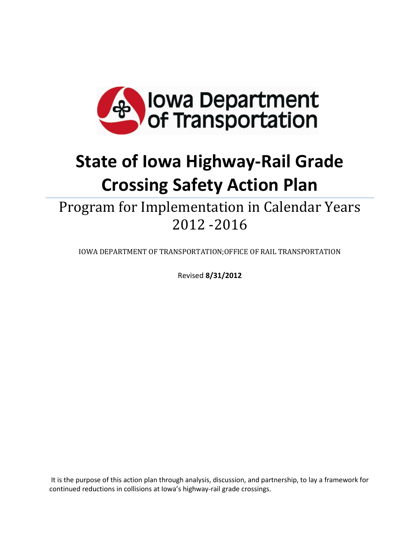

# **State of Iowa Highway-Rail Grade Crossing Safety Action Plan**

Program for Implementation in Calendar Years 2012 -2016

IOWA DEPARTMENT OF TRANSPORTATION;OFFICE OF RAIL TRANSPORTATION

Revised **8/31/2012**

It is the purpose of this action plan through analysis, discussion, and partnership, to lay a framework for continued reductions in collisions at Iowa's highway-rail grade crossings.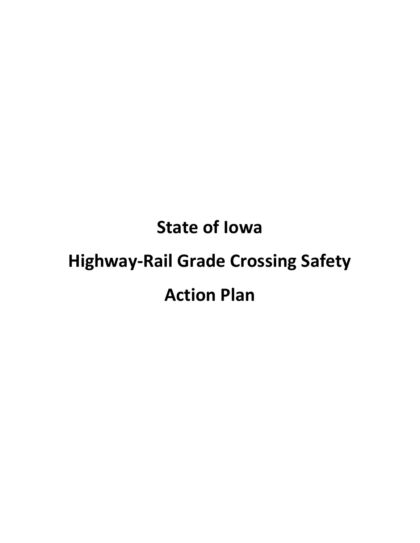# **State of Iowa Highway-Rail Grade Crossing Safety Action Plan**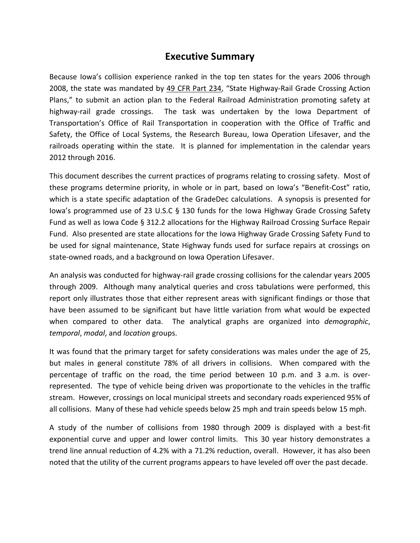# **Executive Summary**

Because Iowa's collision experience ranked in the top ten states for the years 2006 through 2008, the state was mandated by 49 CFR Part 234, "State Highway-Rail Grade Crossing Action Plans," to submit an action plan to the Federal Railroad Administration promoting safety at highway-rail grade crossings. The task was undertaken by the Iowa Department of Transportation's Office of Rail Transportation in cooperation with the Office of Traffic and Safety, the Office of Local Systems, the Research Bureau, Iowa Operation Lifesaver, and the railroads operating within the state. It is planned for implementation in the calendar years 2012 through 2016.

This document describes the current practices of programs relating to crossing safety. Most of these programs determine priority, in whole or in part, based on Iowa's "Benefit-Cost" ratio, which is a state specific adaptation of the GradeDec calculations. A synopsis is presented for Iowa's programmed use of 23 U.S.C § 130 funds for the Iowa Highway Grade Crossing Safety Fund as well as Iowa Code § 312.2 allocations for the Highway Railroad Crossing Surface Repair Fund. Also presented are state allocations for the Iowa Highway Grade Crossing Safety Fund to be used for signal maintenance, State Highway funds used for surface repairs at crossings on state-owned roads, and a background on Iowa Operation Lifesaver.

An analysis was conducted for highway-rail grade crossing collisions for the calendar years 2005 through 2009. Although many analytical queries and cross tabulations were performed, this report only illustrates those that either represent areas with significant findings or those that have been assumed to be significant but have little variation from what would be expected when compared to other data. The analytical graphs are organized into *demographic*, *temporal*, *modal*, and *location* groups.

It was found that the primary target for safety considerations was males under the age of 25, but males in general constitute 78% of all drivers in collisions. When compared with the percentage of traffic on the road, the time period between 10 p.m. and 3 a.m. is overrepresented. The type of vehicle being driven was proportionate to the vehicles in the traffic stream. However, crossings on local municipal streets and secondary roads experienced 95% of all collisions. Many of these had vehicle speeds below 25 mph and train speeds below 15 mph.

A study of the number of collisions from 1980 through 2009 is displayed with a best-fit exponential curve and upper and lower control limits. This 30 year history demonstrates a trend line annual reduction of 4.2% with a 71.2% reduction, overall. However, it has also been noted that the utility of the current programs appears to have leveled off over the past decade.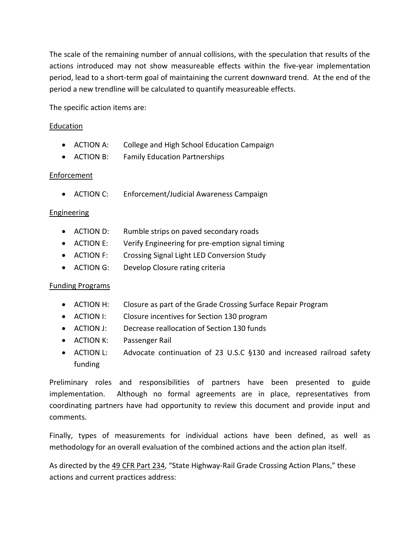The scale of the remaining number of annual collisions, with the speculation that results of the actions introduced may not show measureable effects within the five-year implementation period, lead to a short-term goal of maintaining the current downward trend. At the end of the period a new trendline will be calculated to quantify measureable effects.

The specific action items are:

#### Education

- ACTION A: College and High School Education Campaign
- ACTION B: Family Education Partnerships

#### Enforcement

• ACTION C: Enforcement/Judicial Awareness Campaign

#### Engineering

- ACTION D: Rumble strips on paved secondary roads
- ACTION E: Verify Engineering for pre-emption signal timing
- ACTION F: Crossing Signal Light LED Conversion Study
- ACTION G: Develop Closure rating criteria

#### Funding Programs

- ACTION H: Closure as part of the Grade Crossing Surface Repair Program
- ACTION I: Closure incentives for Section 130 program
- ACTION J: Decrease reallocation of Section 130 funds
- ACTION K: Passenger Rail
- ACTION L: Advocate continuation of 23 U.S.C §130 and increased railroad safety funding

Preliminary roles and responsibilities of partners have been presented to guide implementation. Although no formal agreements are in place, representatives from coordinating partners have had opportunity to review this document and provide input and comments.

Finally, types of measurements for individual actions have been defined, as well as methodology for an overall evaluation of the combined actions and the action plan itself.

As directed by the 49 CFR Part 234, "State Highway-Rail Grade Crossing Action Plans," these actions and current practices address: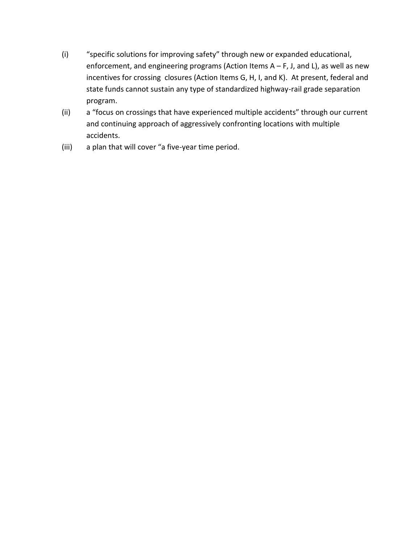- (i) "specific solutions for improving safety" through new or expanded educational, enforcement, and engineering programs (Action Items A – F, J, and L), as well as new incentives for crossing closures (Action Items G, H, I, and K). At present, federal and state funds cannot sustain any type of standardized highway-rail grade separation program.
- (ii) a "focus on crossings that have experienced multiple accidents" through our current and continuing approach of aggressively confronting locations with multiple accidents.
- (iii) a plan that will cover "a five-year time period.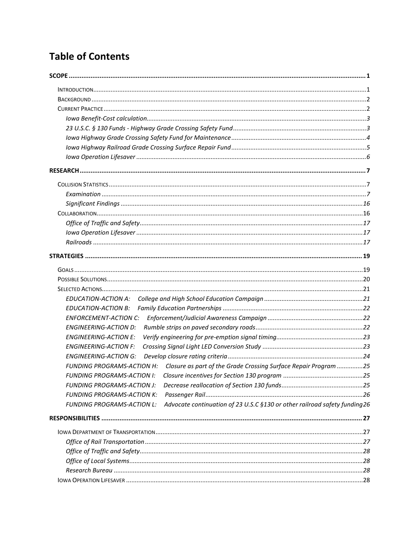# **Table of Contents**

| <b>EDUCATION-ACTION A:</b>                                                                                      |  |
|-----------------------------------------------------------------------------------------------------------------|--|
| <b>EDUCATION-ACTION B:</b>                                                                                      |  |
| <b>ENFORCEMENT-ACTION C:</b>                                                                                    |  |
| <b>ENGINEERING-ACTION D:</b>                                                                                    |  |
| <b>ENGINEERING-ACTION E:</b>                                                                                    |  |
| <b>ENGINEERING-ACTION F:</b>                                                                                    |  |
| <b>ENGINEERING-ACTION G:</b>                                                                                    |  |
| FUNDING PROGRAMS-ACTION H: Closure as part of the Grade Crossing Surface Repair Program 25                      |  |
| <b>FUNDING PROGRAMS-ACTION I:</b>                                                                               |  |
| FUNDING PROGRAMS-ACTION J:                                                                                      |  |
| <b>FUNDING PROGRAMS-ACTION K:</b>                                                                               |  |
| Advocate continuation of 23 U.S.C §130 or other railroad safety funding 26<br><b>FUNDING PROGRAMS-ACTION L:</b> |  |
|                                                                                                                 |  |
|                                                                                                                 |  |
|                                                                                                                 |  |
|                                                                                                                 |  |
|                                                                                                                 |  |
|                                                                                                                 |  |
|                                                                                                                 |  |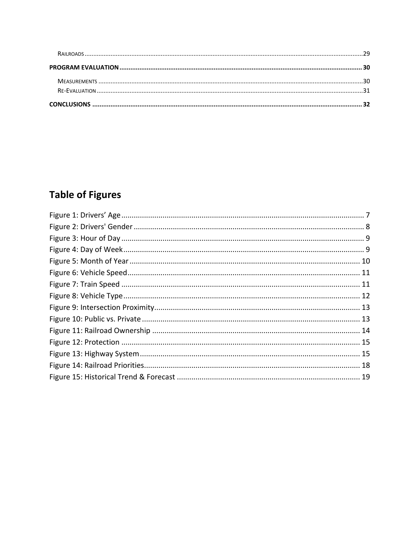# **Table of Figures**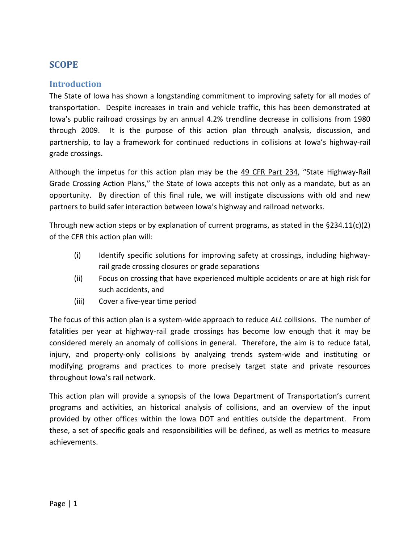# <span id="page-9-0"></span>**SCOPE**

### <span id="page-9-1"></span>**Introduction**

The State of Iowa has shown a longstanding commitment to improving safety for all modes of transportation. Despite increases in train and vehicle traffic, this has been demonstrated at Iowa's public railroad crossings by an annual 4.2% trendline decrease in collisions from 1980 through 2009. It is the purpose of this action plan through analysis, discussion, and partnership, to lay a framework for continued reductions in collisions at Iowa's highway-rail grade crossings.

Although the impetus for this action plan may be the 49 CFR Part 234, "State Highway-Rail Grade Crossing Action Plans," the State of Iowa accepts this not only as a mandate, but as an opportunity. By direction of this final rule, we will instigate discussions with old and new partners to build safer interaction between Iowa's highway and railroad networks.

Through new action steps or by explanation of current programs, as stated in the  $\S 234.11(c)(2)$ of the CFR this action plan will:

- (i) Identify specific solutions for improving safety at crossings, including highwayrail grade crossing closures or grade separations
- (ii) Focus on crossing that have experienced multiple accidents or are at high risk for such accidents, and
- (iii) Cover a five-year time period

The focus of this action plan is a system-wide approach to reduce *ALL* collisions. The number of fatalities per year at highway-rail grade crossings has become low enough that it may be considered merely an anomaly of collisions in general. Therefore, the aim is to reduce fatal, injury, and property-only collisions by analyzing trends system-wide and instituting or modifying programs and practices to more precisely target state and private resources throughout Iowa's rail network.

This action plan will provide a synopsis of the Iowa Department of Transportation's current programs and activities, an historical analysis of collisions, and an overview of the input provided by other offices within the Iowa DOT and entities outside the department. From these, a set of specific goals and responsibilities will be defined, as well as metrics to measure achievements.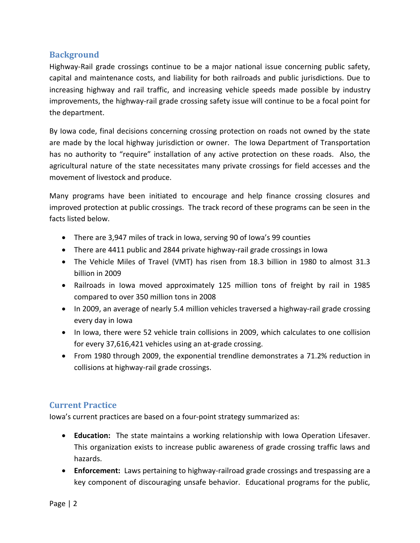### <span id="page-10-0"></span>**Background**

Highway-Rail grade crossings continue to be a major national issue concerning public safety, capital and maintenance costs, and liability for both railroads and public jurisdictions. Due to increasing highway and rail traffic, and increasing vehicle speeds made possible by industry improvements, the highway-rail grade crossing safety issue will continue to be a focal point for the department.

By Iowa code, final decisions concerning crossing protection on roads not owned by the state are made by the local highway jurisdiction or owner. The Iowa Department of Transportation has no authority to "require" installation of any active protection on these roads. Also, the agricultural nature of the state necessitates many private crossings for field accesses and the movement of livestock and produce.

Many programs have been initiated to encourage and help finance crossing closures and improved protection at public crossings. The track record of these programs can be seen in the facts listed below.

- There are 3,947 miles of track in Iowa, serving 90 of Iowa's 99 counties
- There are 4411 public and 2844 private highway-rail grade crossings in Iowa
- The Vehicle Miles of Travel (VMT) has risen from 18.3 billion in 1980 to almost 31.3 billion in 2009
- Railroads in Iowa moved approximately 125 million tons of freight by rail in 1985 compared to over 350 million tons in 2008
- In 2009, an average of nearly 5.4 million vehicles traversed a highway-rail grade crossing every day in Iowa
- In Iowa, there were 52 vehicle train collisions in 2009, which calculates to one collision for every 37,616,421 vehicles using an at-grade crossing.
- From 1980 through 2009, the exponential trendline demonstrates a 71.2% reduction in collisions at highway-rail grade crossings.

### <span id="page-10-1"></span>**Current Practice**

Iowa's current practices are based on a four-point strategy summarized as:

- **Education:** The state maintains a working relationship with Iowa Operation Lifesaver. This organization exists to increase public awareness of grade crossing traffic laws and hazards.
- **Enforcement:** Laws pertaining to highway-railroad grade crossings and trespassing are a key component of discouraging unsafe behavior. Educational programs for the public,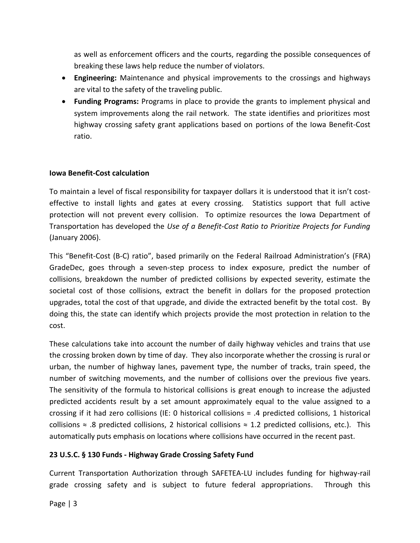as well as enforcement officers and the courts, regarding the possible consequences of breaking these laws help reduce the number of violators.

- **Engineering:** Maintenance and physical improvements to the crossings and highways are vital to the safety of the traveling public.
- **Funding Programs:** Programs in place to provide the grants to implement physical and system improvements along the rail network. The state identifies and prioritizes most highway crossing safety grant applications based on portions of the Iowa Benefit-Cost ratio.

#### <span id="page-11-0"></span>**Iowa Benefit-Cost calculation**

To maintain a level of fiscal responsibility for taxpayer dollars it is understood that it isn't costeffective to install lights and gates at every crossing. Statistics support that full active protection will not prevent every collision. To optimize resources the Iowa Department of Transportation has developed the *Use of a Benefit-Cost Ratio to Prioritize Projects for Funding* (January 2006).

This "Benefit-Cost (B-C) ratio", based primarily on the Federal Railroad Administration's (FRA) GradeDec, goes through a seven-step process to index exposure, predict the number of collisions, breakdown the number of predicted collisions by expected severity, estimate the societal cost of those collisions, extract the benefit in dollars for the proposed protection upgrades, total the cost of that upgrade, and divide the extracted benefit by the total cost. By doing this, the state can identify which projects provide the most protection in relation to the cost.

These calculations take into account the number of daily highway vehicles and trains that use the crossing broken down by time of day. They also incorporate whether the crossing is rural or urban, the number of highway lanes, pavement type, the number of tracks, train speed, the number of switching movements, and the number of collisions over the previous five years. The sensitivity of the formula to historical collisions is great enough to increase the adjusted predicted accidents result by a set amount approximately equal to the value assigned to a crossing if it had zero collisions (IE: 0 historical collisions = .4 predicted collisions, 1 historical collisions  $≈$  .8 predicted collisions, 2 historical collisions  $≈$  1.2 predicted collisions, etc.). This automatically puts emphasis on locations where collisions have occurred in the recent past.

#### <span id="page-11-1"></span>**23 U.S.C. § 130 Funds - Highway Grade Crossing Safety Fund**

Current Transportation Authorization through SAFETEA-LU includes funding for highway-rail grade crossing safety and is subject to future federal appropriations. Through this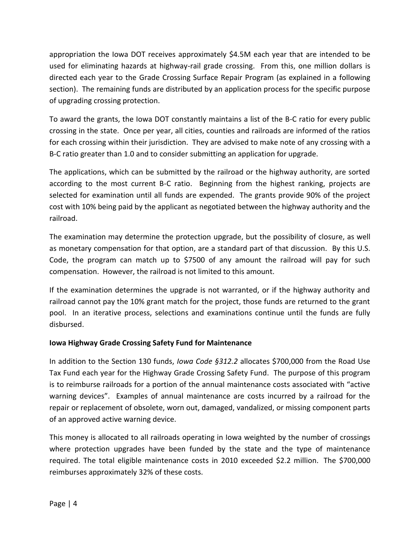appropriation the Iowa DOT receives approximately \$4.5M each year that are intended to be used for eliminating hazards at highway-rail grade crossing. From this, one million dollars is directed each year to the Grade Crossing Surface Repair Program (as explained in a following section). The remaining funds are distributed by an application process for the specific purpose of upgrading crossing protection.

To award the grants, the Iowa DOT constantly maintains a list of the B-C ratio for every public crossing in the state. Once per year, all cities, counties and railroads are informed of the ratios for each crossing within their jurisdiction. They are advised to make note of any crossing with a B-C ratio greater than 1.0 and to consider submitting an application for upgrade.

The applications, which can be submitted by the railroad or the highway authority, are sorted according to the most current B-C ratio. Beginning from the highest ranking, projects are selected for examination until all funds are expended. The grants provide 90% of the project cost with 10% being paid by the applicant as negotiated between the highway authority and the railroad.

The examination may determine the protection upgrade, but the possibility of closure, as well as monetary compensation for that option, are a standard part of that discussion. By this U.S. Code, the program can match up to \$7500 of any amount the railroad will pay for such compensation. However, the railroad is not limited to this amount.

If the examination determines the upgrade is not warranted, or if the highway authority and railroad cannot pay the 10% grant match for the project, those funds are returned to the grant pool. In an iterative process, selections and examinations continue until the funds are fully disbursed.

#### <span id="page-12-0"></span>**Iowa Highway Grade Crossing Safety Fund for Maintenance**

In addition to the Section 130 funds, *Iowa Code §312.2* allocates \$700,000 from the Road Use Tax Fund each year for the Highway Grade Crossing Safety Fund. The purpose of this program is to reimburse railroads for a portion of the annual maintenance costs associated with "active warning devices". Examples of annual maintenance are costs incurred by a railroad for the repair or replacement of obsolete, worn out, damaged, vandalized, or missing component parts of an approved active warning device.

This money is allocated to all railroads operating in Iowa weighted by the number of crossings where protection upgrades have been funded by the state and the type of maintenance required. The total eligible maintenance costs in 2010 exceeded \$2.2 million. The \$700,000 reimburses approximately 32% of these costs.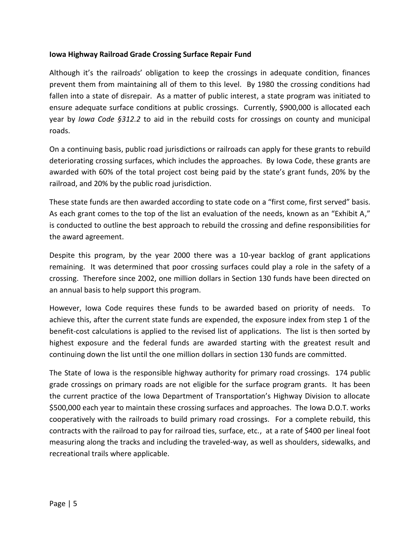#### <span id="page-13-0"></span>**Iowa Highway Railroad Grade Crossing Surface Repair Fund**

Although it's the railroads' obligation to keep the crossings in adequate condition, finances prevent them from maintaining all of them to this level. By 1980 the crossing conditions had fallen into a state of disrepair. As a matter of public interest, a state program was initiated to ensure adequate surface conditions at public crossings. Currently, \$900,000 is allocated each year by *Iowa Code §312.2* to aid in the rebuild costs for crossings on county and municipal roads.

On a continuing basis, public road jurisdictions or railroads can apply for these grants to rebuild deteriorating crossing surfaces, which includes the approaches. By Iowa Code, these grants are awarded with 60% of the total project cost being paid by the state's grant funds, 20% by the railroad, and 20% by the public road jurisdiction.

These state funds are then awarded according to state code on a "first come, first served" basis. As each grant comes to the top of the list an evaluation of the needs, known as an "Exhibit A," is conducted to outline the best approach to rebuild the crossing and define responsibilities for the award agreement.

Despite this program, by the year 2000 there was a 10-year backlog of grant applications remaining. It was determined that poor crossing surfaces could play a role in the safety of a crossing. Therefore since 2002, one million dollars in Section 130 funds have been directed on an annual basis to help support this program.

However, Iowa Code requires these funds to be awarded based on priority of needs. To achieve this, after the current state funds are expended, the exposure index from step 1 of the benefit-cost calculations is applied to the revised list of applications. The list is then sorted by highest exposure and the federal funds are awarded starting with the greatest result and continuing down the list until the one million dollars in section 130 funds are committed.

The State of Iowa is the responsible highway authority for primary road crossings. 174 public grade crossings on primary roads are not eligible for the surface program grants. It has been the current practice of the Iowa Department of Transportation's Highway Division to allocate \$500,000 each year to maintain these crossing surfaces and approaches. The Iowa D.O.T. works cooperatively with the railroads to build primary road crossings. For a complete rebuild, this contracts with the railroad to pay for railroad ties, surface, etc., at a rate of \$400 per lineal foot measuring along the tracks and including the traveled-way, as well as shoulders, sidewalks, and recreational trails where applicable.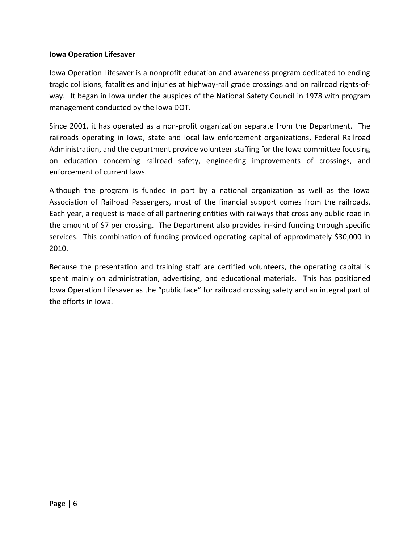#### <span id="page-14-0"></span>**Iowa Operation Lifesaver**

Iowa Operation Lifesaver is a nonprofit education and awareness program dedicated to ending tragic collisions, fatalities and injuries at highway-rail grade crossings and on railroad rights-ofway.It began in Iowa under the auspices of the National Safety Council in 1978 with program management conducted by the Iowa DOT.

Since 2001, it has operated as a non-profit organization separate from the Department. The railroads operating in Iowa, state and local law enforcement organizations, Federal Railroad Administration, and the department provide volunteer staffing for the Iowa committee focusing on education concerning railroad safety, engineering improvements of crossings, and enforcement of current laws.

Although the program is funded in part by a national organization as well as the Iowa Association of Railroad Passengers, most of the financial support comes from the railroads. Each year, a request is made of all partnering entities with railways that cross any public road in the amount of \$7 per crossing. The Department also provides in-kind funding through specific services. This combination of funding provided operating capital of approximately \$30,000 in 2010.

Because the presentation and training staff are certified volunteers, the operating capital is spent mainly on administration, advertising, and educational materials. This has positioned Iowa Operation Lifesaver as the "public face" for railroad crossing safety and an integral part of the efforts in Iowa.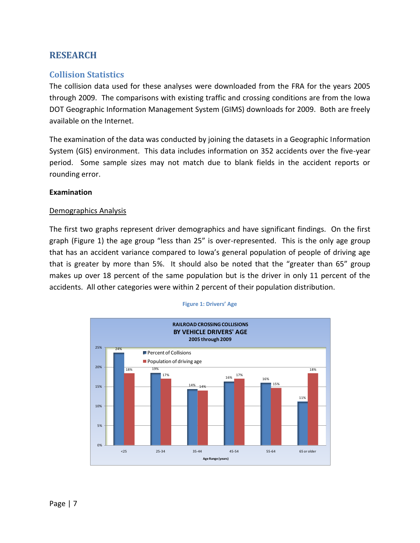# <span id="page-15-0"></span>**RESEARCH**

#### <span id="page-15-1"></span>**Collision Statistics**

The collision data used for these analyses were downloaded from the FRA for the years 2005 through 2009. The comparisons with existing traffic and crossing conditions are from the Iowa DOT Geographic Information Management System (GIMS) downloads for 2009. Both are freely available on the Internet.

The examination of the data was conducted by joining the datasets in a Geographic Information System (GIS) environment. This data includes information on 352 accidents over the five-year period. Some sample sizes may not match due to blank fields in the accident reports or rounding error.

#### <span id="page-15-2"></span>**Examination**

#### Demographics Analysis

The first two graphs represent driver demographics and have significant findings. On the first graph (Figure 1) the age group "less than 25" is over-represented. This is the only age group that has an accident variance compared to Iowa's general population of people of driving age that is greater by more than 5%. It should also be noted that the "greater than 65" group makes up over 18 percent of the same population but is the driver in only 11 percent of the accidents. All other categories were within 2 percent of their population distribution.

**Figure 1: Drivers' Age**

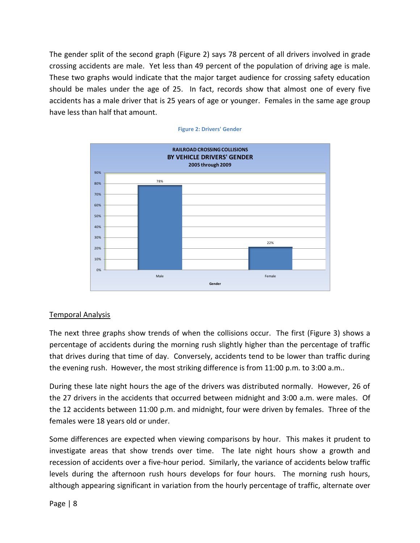The gender split of the second graph (Figure 2) says 78 percent of all drivers involved in grade crossing accidents are male. Yet less than 49 percent of the population of driving age is male. These two graphs would indicate that the major target audience for crossing safety education should be males under the age of 25. In fact, records show that almost one of every five accidents has a male driver that is 25 years of age or younger. Females in the same age group have less than half that amount.



#### **Figure 2: Drivers' Gender**

#### Temporal Analysis

The next three graphs show trends of when the collisions occur. The first (Figure 3) shows a percentage of accidents during the morning rush slightly higher than the percentage of traffic that drives during that time of day. Conversely, accidents tend to be lower than traffic during the evening rush. However, the most striking difference is from 11:00 p.m. to 3:00 a.m..

During these late night hours the age of the drivers was distributed normally. However, 26 of the 27 drivers in the accidents that occurred between midnight and 3:00 a.m. were males. Of the 12 accidents between 11:00 p.m. and midnight, four were driven by females. Three of the females were 18 years old or under.

Some differences are expected when viewing comparisons by hour. This makes it prudent to investigate areas that show trends over time. The late night hours show a growth and recession of accidents over a five-hour period. Similarly, the variance of accidents below traffic levels during the afternoon rush hours develops for four hours. The morning rush hours, although appearing significant in variation from the hourly percentage of traffic, alternate over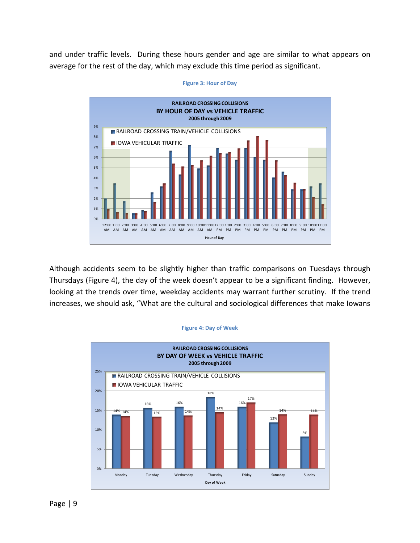and under traffic levels. During these hours gender and age are similar to what appears on average for the rest of the day, which may exclude this time period as significant.



**Figure 3: Hour of Day**

Although accidents seem to be slightly higher than traffic comparisons on Tuesdays through Thursdays (Figure 4), the day of the week doesn't appear to be a significant finding. However, looking at the trends over time, weekday accidents may warrant further scrutiny. If the trend increases, we should ask, "What are the cultural and sociological differences that make Iowans

#### **Figure 4: Day of Week**

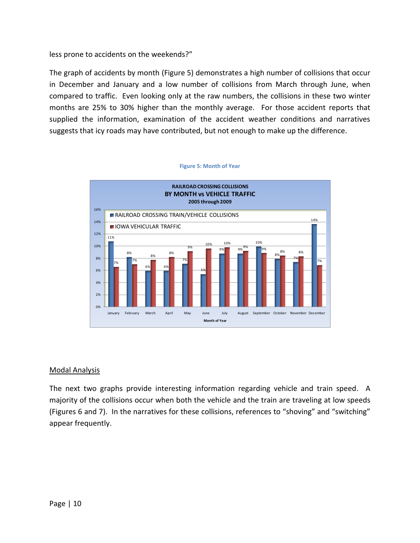less prone to accidents on the weekends?"

The graph of accidents by month (Figure 5) demonstrates a high number of collisions that occur in December and January and a low number of collisions from March through June, when compared to traffic. Even looking only at the raw numbers, the collisions in these two winter months are 25% to 30% higher than the monthly average. For those accident reports that supplied the information, examination of the accident weather conditions and narratives suggests that icy roads may have contributed, but not enough to make up the difference.



#### Modal Analysis

The next two graphs provide interesting information regarding vehicle and train speed. A majority of the collisions occur when both the vehicle and the train are traveling at low speeds (Figures 6 and 7). In the narratives for these collisions, references to "shoving" and "switching" appear frequently.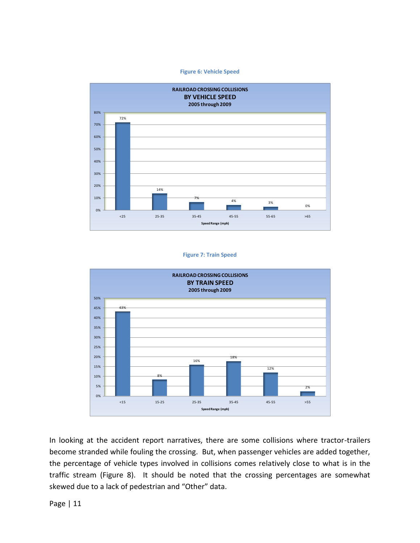**Figure 6: Vehicle Speed**



#### **Figure 7: Train Speed**



In looking at the accident report narratives, there are some collisions where tractor-trailers become stranded while fouling the crossing. But, when passenger vehicles are added together, the percentage of vehicle types involved in collisions comes relatively close to what is in the traffic stream (Figure 8). It should be noted that the crossing percentages are somewhat skewed due to a lack of pedestrian and "Other" data.

Page | 11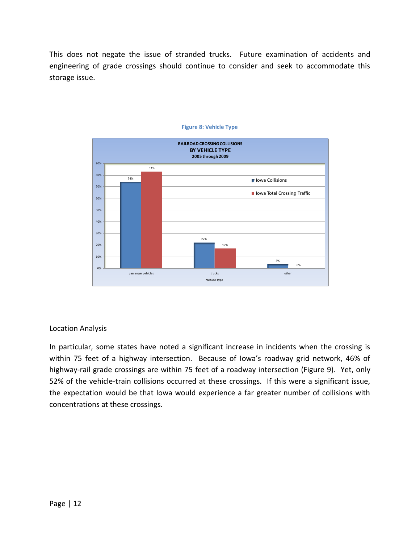This does not negate the issue of stranded trucks. Future examination of accidents and engineering of grade crossings should continue to consider and seek to accommodate this storage issue.



#### **Figure 8: Vehicle Type**

#### Location Analysis

In particular, some states have noted a significant increase in incidents when the crossing is within 75 feet of a highway intersection. Because of Iowa's roadway grid network, 46% of highway-rail grade crossings are within 75 feet of a roadway intersection (Figure 9). Yet, only 52% of the vehicle-train collisions occurred at these crossings. If this were a significant issue, the expectation would be that Iowa would experience a far greater number of collisions with concentrations at these crossings.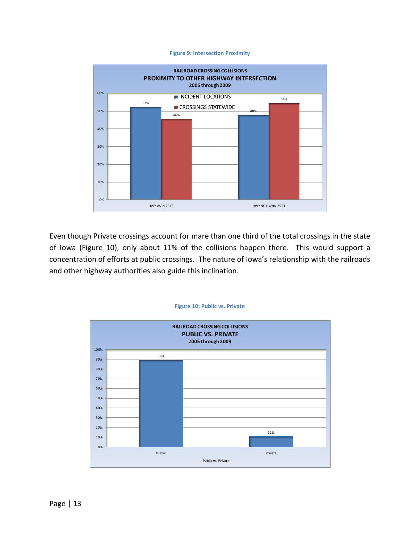#### **Figure 9: Intersection Proximity**



Even though Private crossings account for mare than one third of the total crossings in the state of Iowa (Figure 10), only about 11% of the collisions happen there. This would support a concentration of efforts at public crossings. The nature of Iowa's relationship with the railroads and other highway authorities also guide this inclination.



#### **Figure 10: Public vs. Private**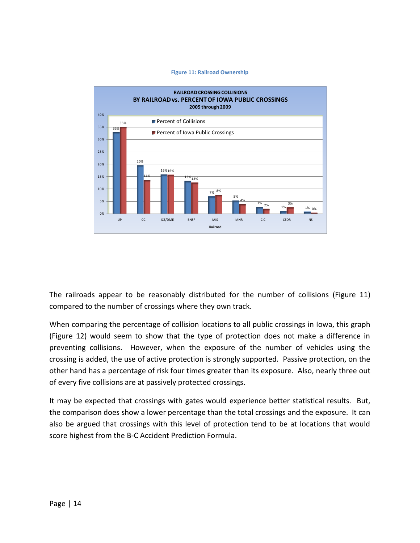#### **Figure 11: Railroad Ownership**



The railroads appear to be reasonably distributed for the number of collisions (Figure 11) compared to the number of crossings where they own track.

When comparing the percentage of collision locations to all public crossings in Iowa, this graph (Figure 12) would seem to show that the type of protection does not make a difference in preventing collisions. However, when the exposure of the number of vehicles using the crossing is added, the use of active protection is strongly supported. Passive protection, on the other hand has a percentage of risk four times greater than its exposure. Also, nearly three out of every five collisions are at passively protected crossings.

It may be expected that crossings with gates would experience better statistical results. But, the comparison does show a lower percentage than the total crossings and the exposure. It can also be argued that crossings with this level of protection tend to be at locations that would score highest from the B-C Accident Prediction Formula.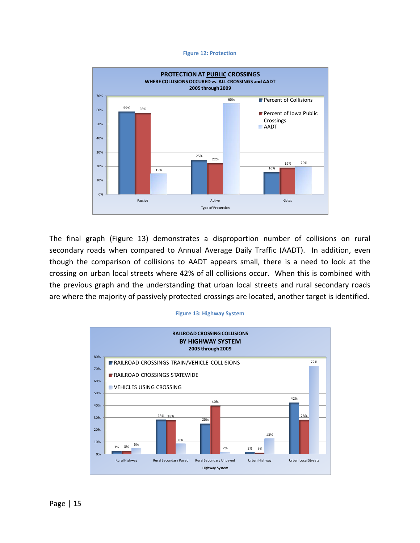#### **Figure 12: Protection**



The final graph (Figure 13) demonstrates a disproportion number of collisions on rural secondary roads when compared to Annual Average Daily Traffic (AADT). In addition, even though the comparison of collisions to AADT appears small, there is a need to look at the crossing on urban local streets where 42% of all collisions occur. When this is combined with the previous graph and the understanding that urban local streets and rural secondary roads are where the majority of passively protected crossings are located, another target is identified.

#### **Figure 13: Highway System**

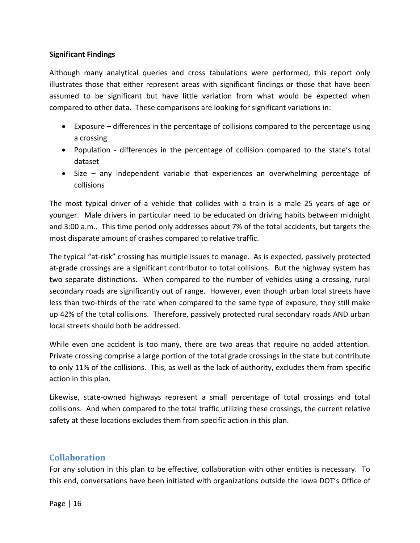#### <span id="page-24-0"></span>**Significant Findings**

Although many analytical queries and cross tabulations were performed, this report only illustrates those that either represent areas with significant findings or those that have been assumed to be significant but have little variation from what would be expected when compared to other data. These comparisons are looking for significant variations in:

- Exposure differences in the percentage of collisions compared to the percentage using a crossing
- Population differences in the percentage of collision compared to the state's total dataset
- Size any independent variable that experiences an overwhelming percentage of collisions

The most typical driver of a vehicle that collides with a train is a male 25 years of age or younger. Male drivers in particular need to be educated on driving habits between midnight and 3:00 a.m.. This time period only addresses about 7% of the total accidents, but targets the most disparate amount of crashes compared to relative traffic.

The typical "at-risk" crossing has multiple issues to manage. As is expected, passively protected at-grade crossings are a significant contributor to total collisions. But the highway system has two separate distinctions. When compared to the number of vehicles using a crossing, rural secondary roads are significantly out of range. However, even though urban local streets have less than two-thirds of the rate when compared to the same type of exposure, they still make up 42% of the total collisions. Therefore, passively protected rural secondary roads AND urban local streets should both be addressed.

While even one accident is too many, there are two areas that require no added attention. Private crossing comprise a large portion of the total grade crossings in the state but contribute to only 11% of the collisions. This, as well as the lack of authority, excludes them from specific action in this plan.

Likewise, state-owned highways represent a small percentage of total crossings and total collisions. And when compared to the total traffic utilizing these crossings, the current relative safety at these locations excludes them from specific action in this plan.

### <span id="page-24-1"></span>**Collaboration**

For any solution in this plan to be effective, collaboration with other entities is necessary. To this end, conversations have been initiated with organizations outside the Iowa DOT's Office of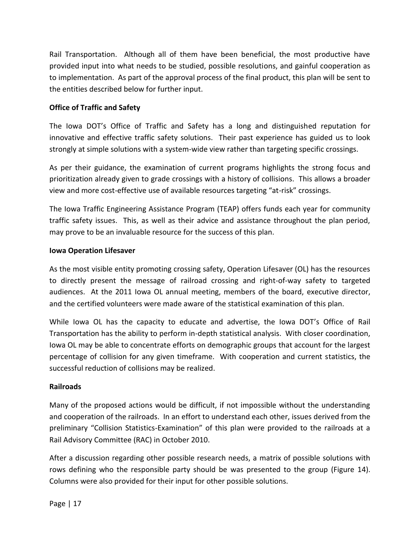Rail Transportation. Although all of them have been beneficial, the most productive have provided input into what needs to be studied, possible resolutions, and gainful cooperation as to implementation. As part of the approval process of the final product, this plan will be sent to the entities described below for further input.

#### <span id="page-25-0"></span>**Office of Traffic and Safety**

The Iowa DOT's Office of Traffic and Safety has a long and distinguished reputation for innovative and effective traffic safety solutions. Their past experience has guided us to look strongly at simple solutions with a system-wide view rather than targeting specific crossings.

As per their guidance, the examination of current programs highlights the strong focus and prioritization already given to grade crossings with a history of collisions. This allows a broader view and more cost-effective use of available resources targeting "at-risk" crossings.

The Iowa Traffic Engineering Assistance Program (TEAP) offers funds each year for community traffic safety issues. This, as well as their advice and assistance throughout the plan period, may prove to be an invaluable resource for the success of this plan.

#### <span id="page-25-1"></span>**Iowa Operation Lifesaver**

As the most visible entity promoting crossing safety, Operation Lifesaver (OL) has the resources to directly present the message of railroad crossing and right-of-way safety to targeted audiences. At the 2011 Iowa OL annual meeting, members of the board, executive director, and the certified volunteers were made aware of the statistical examination of this plan.

While Iowa OL has the capacity to educate and advertise, the Iowa DOT's Office of Rail Transportation has the ability to perform in-depth statistical analysis. With closer coordination, Iowa OL may be able to concentrate efforts on demographic groups that account for the largest percentage of collision for any given timeframe. With cooperation and current statistics, the successful reduction of collisions may be realized.

#### <span id="page-25-2"></span>**Railroads**

Many of the proposed actions would be difficult, if not impossible without the understanding and cooperation of the railroads. In an effort to understand each other, issues derived from the preliminary "Collision Statistics-Examination" of this plan were provided to the railroads at a Rail Advisory Committee (RAC) in October 2010.

After a discussion regarding other possible research needs, a matrix of possible solutions with rows defining who the responsible party should be was presented to the group (Figure 14). Columns were also provided for their input for other possible solutions.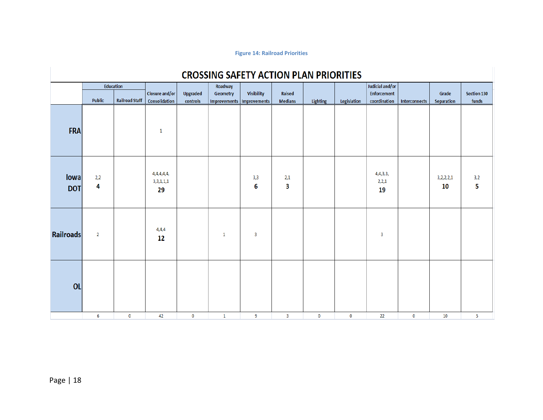#### **Figure 14: Railroad Priorities**

| <b>CROSSING SAFETY ACTION PLAN PRIORITIES</b> |                  |                       |                               |          |                             |                   |                |          |             |                         |               |                 |             |
|-----------------------------------------------|------------------|-----------------------|-------------------------------|----------|-----------------------------|-------------------|----------------|----------|-------------|-------------------------|---------------|-----------------|-------------|
|                                               | <b>Education</b> |                       |                               |          | Roadway                     |                   |                |          |             | Judicial and/or         |               |                 |             |
|                                               |                  |                       | Closure and/or                | Upgraded | Geometry                    | <b>Visibility</b> | Raised         |          |             | Enforcement             |               | Grade           | Section 130 |
|                                               | <b>Public</b>    | <b>Railroad Staff</b> | Consolidation                 | controls | Improvements   Improvements |                   | <b>Medians</b> | Lighting | Legislation | coordination            | Interconnects | Separation      | funds       |
| <b>FRA</b>                                    |                  |                       | -1                            |          |                             |                   |                |          |             |                         |               |                 |             |
| lowa<br><b>DOT</b>                            | 2,2<br>4         |                       | 4,4,4,4,4,<br>3,3,1,1,1<br>29 |          |                             | 3,3<br>6          | 2,1<br>3       |          |             | 4,4,3,3,<br>2,2,1<br>19 |               | 3,2,2,2,1<br>10 | 3,2<br>5    |
| Railroads                                     | $\overline{2}$   |                       | 4,4,4<br>12                   |          | $\mathbf{1}$                | 3                 |                |          |             | 3                       |               |                 |             |
| <b>OL</b>                                     |                  |                       |                               |          |                             |                   |                |          |             |                         |               |                 |             |
|                                               | 6                | $\bf{0}$              | 42                            | 0        | $\mathbf{1}$                | -9                | 3              | $\bf{0}$ | $\bf{0}$    | 22                      | $\bf{0}$      | 10              | 5           |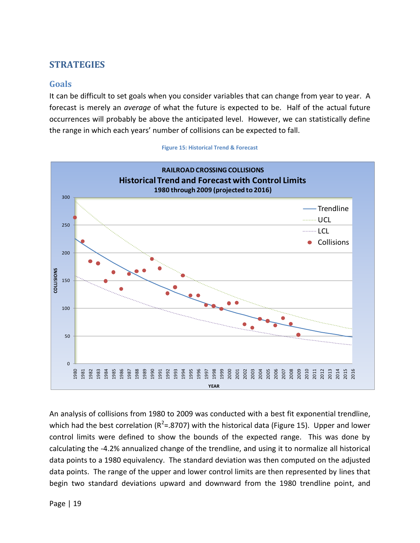# <span id="page-27-0"></span>**STRATEGIES**

#### <span id="page-27-1"></span>**Goals**

It can be difficult to set goals when you consider variables that can change from year to year. A forecast is merely an *average* of what the future is expected to be. Half of the actual future occurrences will probably be above the anticipated level. However, we can statistically define the range in which each years' number of collisions can be expected to fall.



**Figure 15: Historical Trend & Forecast**

An analysis of collisions from 1980 to 2009 was conducted with a best fit exponential trendline, which had the best correlation ( $R^2$ =.8707) with the historical data (Figure 15). Upper and lower control limits were defined to show the bounds of the expected range. This was done by calculating the -4.2% annualized change of the trendline, and using it to normalize all historical data points to a 1980 equivalency. The standard deviation was then computed on the adjusted data points. The range of the upper and lower control limits are then represented by lines that begin two standard deviations upward and downward from the 1980 trendline point, and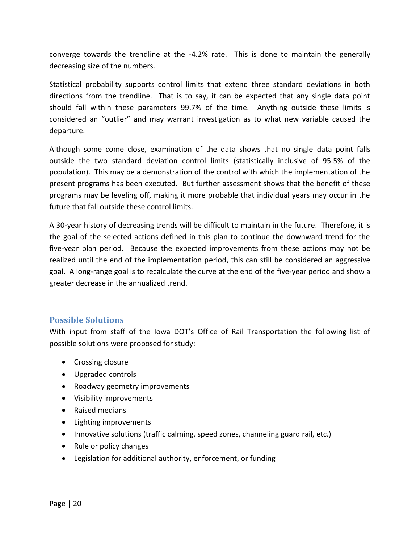converge towards the trendline at the -4.2% rate. This is done to maintain the generally decreasing size of the numbers.

Statistical probability supports control limits that extend three standard deviations in both directions from the trendline. That is to say, it can be expected that any single data point should fall within these parameters 99.7% of the time. Anything outside these limits is considered an "outlier" and may warrant investigation as to what new variable caused the departure.

Although some come close, examination of the data shows that no single data point falls outside the two standard deviation control limits (statistically inclusive of 95.5% of the population). This may be a demonstration of the control with which the implementation of the present programs has been executed. But further assessment shows that the benefit of these programs may be leveling off, making it more probable that individual years may occur in the future that fall outside these control limits.

A 30-year history of decreasing trends will be difficult to maintain in the future. Therefore, it is the goal of the selected actions defined in this plan to continue the downward trend for the five-year plan period. Because the expected improvements from these actions may not be realized until the end of the implementation period, this can still be considered an aggressive goal. A long-range goal is to recalculate the curve at the end of the five-year period and show a greater decrease in the annualized trend.

#### <span id="page-28-0"></span>**Possible Solutions**

With input from staff of the Iowa DOT's Office of Rail Transportation the following list of possible solutions were proposed for study:

- Crossing closure
- Upgraded controls
- Roadway geometry improvements
- Visibility improvements
- Raised medians
- Lighting improvements
- Innovative solutions (traffic calming, speed zones, channeling guard rail, etc.)
- Rule or policy changes
- Legislation for additional authority, enforcement, or funding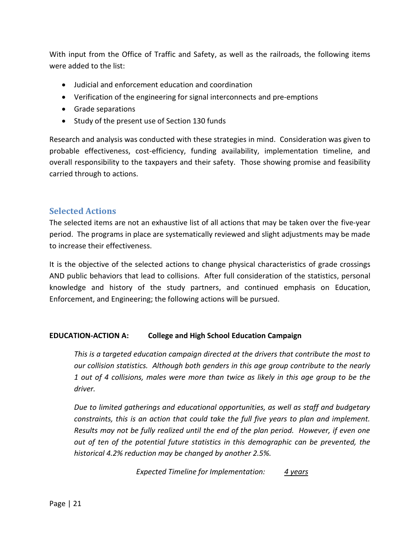With input from the Office of Traffic and Safety, as well as the railroads, the following items were added to the list:

- Judicial and enforcement education and coordination
- Verification of the engineering for signal interconnects and pre-emptions
- Grade separations
- Study of the present use of Section 130 funds

Research and analysis was conducted with these strategies in mind. Consideration was given to probable effectiveness, cost-efficiency, funding availability, implementation timeline, and overall responsibility to the taxpayers and their safety. Those showing promise and feasibility carried through to actions.

#### <span id="page-29-0"></span>**Selected Actions**

The selected items are not an exhaustive list of all actions that may be taken over the five-year period. The programs in place are systematically reviewed and slight adjustments may be made to increase their effectiveness.

It is the objective of the selected actions to change physical characteristics of grade crossings AND public behaviors that lead to collisions. After full consideration of the statistics, personal knowledge and history of the study partners, and continued emphasis on Education, Enforcement, and Engineering; the following actions will be pursued.

#### <span id="page-29-1"></span>**EDUCATION-ACTION A: College and High School Education Campaign**

*This is a targeted education campaign directed at the drivers that contribute the most to our collision statistics. Although both genders in this age group contribute to the nearly 1 out of 4 collisions, males were more than twice as likely in this age group to be the driver.*

*Due to limited gatherings and educational opportunities, as well as staff and budgetary constraints, this is an action that could take the full five years to plan and implement. Results may not be fully realized until the end of the plan period. However, if even one out of ten of the potential future statistics in this demographic can be prevented, the historical 4.2% reduction may be changed by another 2.5%.*

*Expected Timeline for Implementation: 4 years*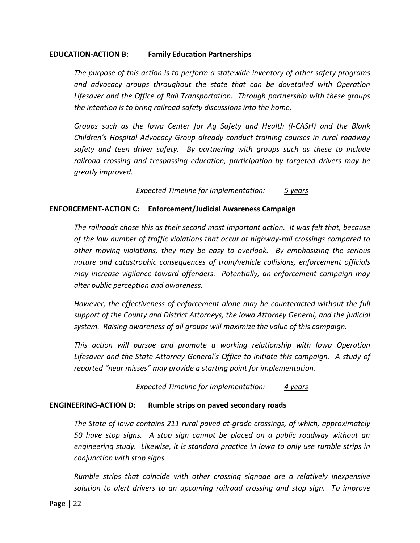#### <span id="page-30-0"></span>**EDUCATION-ACTION B: Family Education Partnerships**

*The purpose of this action is to perform a statewide inventory of other safety programs and advocacy groups throughout the state that can be dovetailed with Operation Lifesaver and the Office of Rail Transportation. Through partnership with these groups the intention is to bring railroad safety discussions into the home.*

*Groups such as the Iowa Center for Ag Safety and Health (I-CASH) and the Blank Children's Hospital Advocacy Group already conduct training courses in rural roadway safety and teen driver safety. By partnering with groups such as these to include railroad crossing and trespassing education, participation by targeted drivers may be greatly improved.*

*Expected Timeline for Implementation: 5 years*

#### <span id="page-30-1"></span>**ENFORCEMENT-ACTION C: Enforcement/Judicial Awareness Campaign**

*The railroads chose this as their second most important action. It was felt that, because of the low number of traffic violations that occur at highway-rail crossings compared to other moving violations, they may be easy to overlook. By emphasizing the serious nature and catastrophic consequences of train/vehicle collisions, enforcement officials may increase vigilance toward offenders. Potentially, an enforcement campaign may alter public perception and awareness.*

*However, the effectiveness of enforcement alone may be counteracted without the full support of the County and District Attorneys, the Iowa Attorney General, and the judicial system. Raising awareness of all groups will maximize the value of this campaign.*

*This action will pursue and promote a working relationship with Iowa Operation Lifesaver and the State Attorney General's Office to initiate this campaign. A study of reported "near misses" may provide a starting point for implementation.*

*Expected Timeline for Implementation: 4 years*

#### <span id="page-30-2"></span>**ENGINEERING-ACTION D: Rumble strips on paved secondary roads**

*The State of Iowa contains 211 rural paved at-grade crossings, of which, approximately 50 have stop signs. A stop sign cannot be placed on a public roadway without an engineering study. Likewise, it is standard practice in Iowa to only use rumble strips in conjunction with stop signs.*

*Rumble strips that coincide with other crossing signage are a relatively inexpensive solution to alert drivers to an upcoming railroad crossing and stop sign. To improve*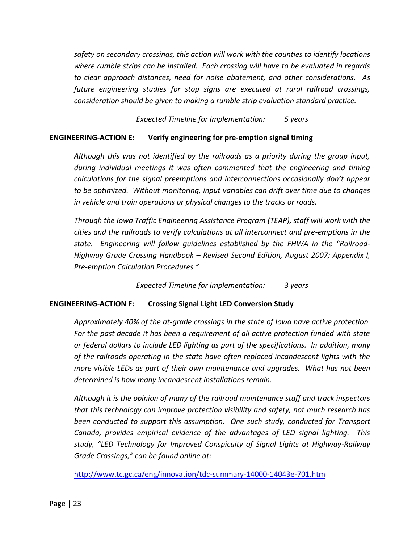*safety on secondary crossings, this action will work with the counties to identify locations where rumble strips can be installed. Each crossing will have to be evaluated in regards to clear approach distances, need for noise abatement, and other considerations. As future engineering studies for stop signs are executed at rural railroad crossings, consideration should be given to making a rumble strip evaluation standard practice.*

*Expected Timeline for Implementation: 5 years*

#### <span id="page-31-0"></span>**ENGINEERING-ACTION E: Verify engineering for pre-emption signal timing**

*Although this was not identified by the railroads as a priority during the group input, during individual meetings it was often commented that the engineering and timing calculations for the signal preemptions and interconnections occasionally don't appear to be optimized. Without monitoring, input variables can drift over time due to changes in vehicle and train operations or physical changes to the tracks or roads.* 

*Through the Iowa Traffic Engineering Assistance Program (TEAP), staff will work with the cities and the railroads to verify calculations at all interconnect and pre-emptions in the state. Engineering will follow guidelines established by the FHWA in the "Railroad-Highway Grade Crossing Handbook – Revised Second Edition, August 2007; Appendix I, Pre-emption Calculation Procedures."*

*Expected Timeline for Implementation: 3 years*

#### <span id="page-31-1"></span>**ENGINEERING-ACTION F: Crossing Signal Light LED Conversion Study**

*Approximately 40% of the at-grade crossings in the state of Iowa have active protection.*  For the past decade it has been a requirement of all active protection funded with state *or federal dollars to include LED lighting as part of the specifications. In addition, many of the railroads operating in the state have often replaced incandescent lights with the more visible LEDs as part of their own maintenance and upgrades. What has not been determined is how many incandescent installations remain.*

*Although it is the opinion of many of the railroad maintenance staff and track inspectors that this technology can improve protection visibility and safety, not much research has been conducted to support this assumption. One such study, conducted for Transport Canada, provides empirical evidence of the advantages of LED signal lighting. This study, "LED Technology for Improved Conspicuity of Signal Lights at Highway-Railway Grade Crossings," can be found online at:* 

<http://www.tc.gc.ca/eng/innovation/tdc-summary-14000-14043e-701.htm>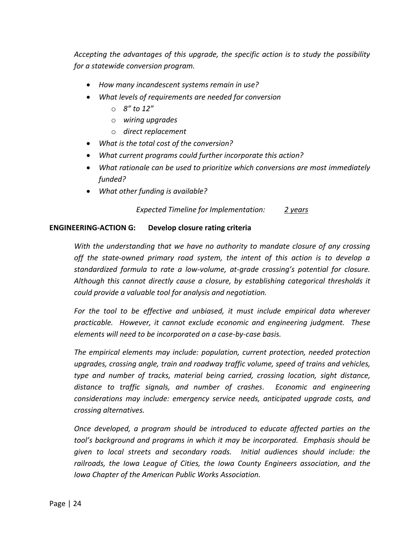*Accepting the advantages of this upgrade, the specific action is to study the possibility for a statewide conversion program.* 

- *How many incandescent systems remain in use?*
- *What levels of requirements are needed for conversion*
	- o *8" to 12"*
	- o *wiring upgrades*
	- o *direct replacement*
- *What is the total cost of the conversion?*
- *What current programs could further incorporate this action?*
- *What rationale can be used to prioritize which conversions are most immediately funded?*
- *What other funding is available?*

*Expected Timeline for Implementation: 2 years*

#### <span id="page-32-0"></span>**ENGINEERING-ACTION G: Develop closure rating criteria**

*With the understanding that we have no authority to mandate closure of any crossing off the state-owned primary road system, the intent of this action is to develop a standardized formula to rate a low-volume, at-grade crossing's potential for closure. Although this cannot directly cause a closure, by establishing categorical thresholds it could provide a valuable tool for analysis and negotiation.*

*For the tool to be effective and unbiased, it must include empirical data wherever practicable. However, it cannot exclude economic and engineering judgment. These elements will need to be incorporated on a case-by-case basis.*

*The empirical elements may include: population, current protection, needed protection upgrades, crossing angle, train and roadway traffic volume, speed of trains and vehicles, type and number of tracks, material being carried, crossing location, sight distance, distance to traffic signals, and number of crashes. Economic and engineering considerations may include: emergency service needs, anticipated upgrade costs, and crossing alternatives.*

*Once developed, a program should be introduced to educate affected parties on the tool's background and programs in which it may be incorporated. Emphasis should be given to local streets and secondary roads. Initial audiences should include: the railroads, the Iowa League of Cities, the Iowa County Engineers association, and the Iowa Chapter of the American Public Works Association.*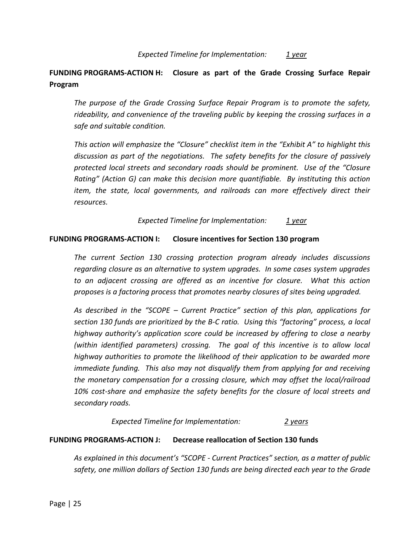#### *Expected Timeline for Implementation: 1 year*

### <span id="page-33-0"></span>**FUNDING PROGRAMS-ACTION H: Closure as part of the Grade Crossing Surface Repair Program**

*The purpose of the Grade Crossing Surface Repair Program is to promote the safety, rideability, and convenience of the traveling public by keeping the crossing surfaces in a safe and suitable condition.*

*This action will emphasize the "Closure" checklist item in the "Exhibit A" to highlight this discussion as part of the negotiations. The safety benefits for the closure of passively protected local streets and secondary roads should be prominent. Use of the "Closure Rating" (Action G) can make this decision more quantifiable. By instituting this action item, the state, local governments, and railroads can more effectively direct their resources.*

*Expected Timeline for Implementation: 1 year*

#### <span id="page-33-1"></span>**FUNDING PROGRAMS-ACTION I: Closure incentives for Section 130 program**

*The current Section 130 crossing protection program already includes discussions regarding closure as an alternative to system upgrades. In some cases system upgrades to an adjacent crossing are offered as an incentive for closure. What this action proposes is a factoring process that promotes nearby closures of sites being upgraded.*

*As described in the "SCOPE – Current Practice" section of this plan, applications for section 130 funds are prioritized by the B-C ratio. Using this "factoring" process, a local highway authority's application score could be increased by offering to close a nearby (within identified parameters) crossing. The goal of this incentive is to allow local highway authorities to promote the likelihood of their application to be awarded more immediate funding. This also may not disqualify them from applying for and receiving the monetary compensation for a crossing closure, which may offset the local/railroad 10% cost-share and emphasize the safety benefits for the closure of local streets and secondary roads.*

#### *Expected Timeline for Implementation: 2 years*

#### <span id="page-33-2"></span>**FUNDING PROGRAMS-ACTION J: Decrease reallocation of Section 130 funds**

*As explained in this document's "SCOPE - Current Practices" section, as a matter of public safety, one million dollars of Section 130 funds are being directed each year to the Grade*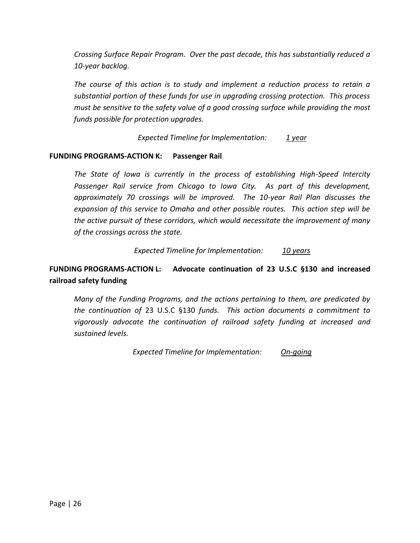*Crossing Surface Repair Program. Over the past decade, this has substantially reduced a 10-year backlog.*

*The course of this action is to study and implement a reduction process to retain a substantial portion of these funds for use in upgrading crossing protection. This process must be sensitive to the safety value of a good crossing surface while providing the most funds possible for protection upgrades.*

*Expected Timeline for Implementation: 1 year*

#### <span id="page-34-0"></span>**FUNDING PROGRAMS-ACTION K: Passenger Rail**

*The State of Iowa is currently in the process of establishing High-Speed Intercity Passenger Rail service from Chicago to Iowa City. As part of this development, approximately 70 crossings will be improved. The 10-year Rail Plan discusses the expansion of this service to Omaha and other possible routes. This action step will be the active pursuit of these corridors, which would necessitate the improvement of many of the crossings across the state.*

#### *Expected Timeline for Implementation: 10 years*

# <span id="page-34-1"></span>**FUNDING PROGRAMS-ACTION L: Advocate continuation of 23 U.S.C §130 and increased railroad safety funding**

*Many of the Funding Programs, and the actions pertaining to them, are predicated by the continuation of* 23 U.S.C §130 *funds. This action documents a commitment to vigorously advocate the continuation of railroad safety funding at increased and sustained levels.*

*Expected Timeline for Implementation: On-going*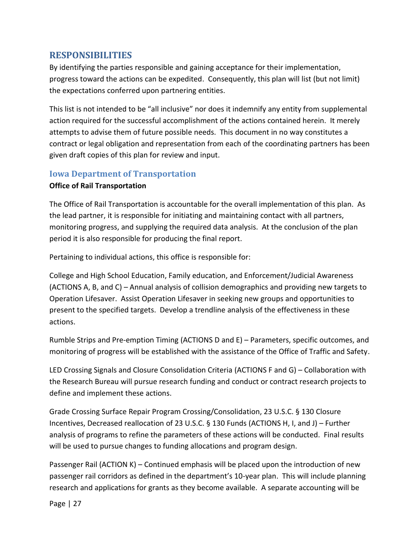### <span id="page-35-0"></span>**RESPONSIBILITIES**

By identifying the parties responsible and gaining acceptance for their implementation, progress toward the actions can be expedited. Consequently, this plan will list (but not limit) the expectations conferred upon partnering entities.

This list is not intended to be "all inclusive" nor does it indemnify any entity from supplemental action required for the successful accomplishment of the actions contained herein. It merely attempts to advise them of future possible needs. This document in no way constitutes a contract or legal obligation and representation from each of the coordinating partners has been given draft copies of this plan for review and input.

### <span id="page-35-1"></span>**Iowa Department of Transportation**

#### <span id="page-35-2"></span>**Office of Rail Transportation**

The Office of Rail Transportation is accountable for the overall implementation of this plan. As the lead partner, it is responsible for initiating and maintaining contact with all partners, monitoring progress, and supplying the required data analysis. At the conclusion of the plan period it is also responsible for producing the final report.

Pertaining to individual actions, this office is responsible for:

College and High School Education, Family education, and Enforcement/Judicial Awareness (ACTIONS A, B, and C) – Annual analysis of collision demographics and providing new targets to Operation Lifesaver. Assist Operation Lifesaver in seeking new groups and opportunities to present to the specified targets. Develop a trendline analysis of the effectiveness in these actions.

Rumble Strips and Pre-emption Timing (ACTIONS D and E) – Parameters, specific outcomes, and monitoring of progress will be established with the assistance of the Office of Traffic and Safety.

LED Crossing Signals and Closure Consolidation Criteria (ACTIONS F and G) – Collaboration with the Research Bureau will pursue research funding and conduct or contract research projects to define and implement these actions.

Grade Crossing Surface Repair Program Crossing/Consolidation, 23 U.S.C. § 130 Closure Incentives, Decreased reallocation of 23 U.S.C. § 130 Funds (ACTIONS H, I, and J) – Further analysis of programs to refine the parameters of these actions will be conducted. Final results will be used to pursue changes to funding allocations and program design.

Passenger Rail (ACTION K) – Continued emphasis will be placed upon the introduction of new passenger rail corridors as defined in the department's 10-year plan. This will include planning research and applications for grants as they become available. A separate accounting will be

Page | 27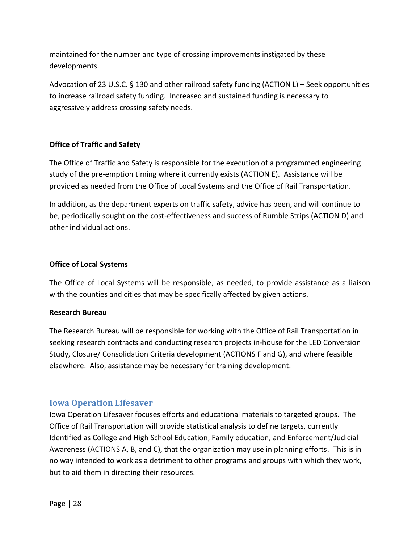maintained for the number and type of crossing improvements instigated by these developments.

Advocation of 23 U.S.C. § 130 and other railroad safety funding (ACTION L) – Seek opportunities to increase railroad safety funding. Increased and sustained funding is necessary to aggressively address crossing safety needs.

#### <span id="page-36-0"></span>**Office of Traffic and Safety**

The Office of Traffic and Safety is responsible for the execution of a programmed engineering study of the pre-emption timing where it currently exists (ACTION E). Assistance will be provided as needed from the Office of Local Systems and the Office of Rail Transportation.

In addition, as the department experts on traffic safety, advice has been, and will continue to be, periodically sought on the cost-effectiveness and success of Rumble Strips (ACTION D) and other individual actions.

#### <span id="page-36-1"></span>**Office of Local Systems**

The Office of Local Systems will be responsible, as needed, to provide assistance as a liaison with the counties and cities that may be specifically affected by given actions.

#### <span id="page-36-2"></span>**Research Bureau**

The Research Bureau will be responsible for working with the Office of Rail Transportation in seeking research contracts and conducting research projects in-house for the LED Conversion Study, Closure/ Consolidation Criteria development (ACTIONS F and G), and where feasible elsewhere. Also, assistance may be necessary for training development.

### <span id="page-36-3"></span>**Iowa Operation Lifesaver**

Iowa Operation Lifesaver focuses efforts and educational materials to targeted groups. The Office of Rail Transportation will provide statistical analysis to define targets, currently Identified as College and High School Education, Family education, and Enforcement/Judicial Awareness (ACTIONS A, B, and C), that the organization may use in planning efforts. This is in no way intended to work as a detriment to other programs and groups with which they work, but to aid them in directing their resources.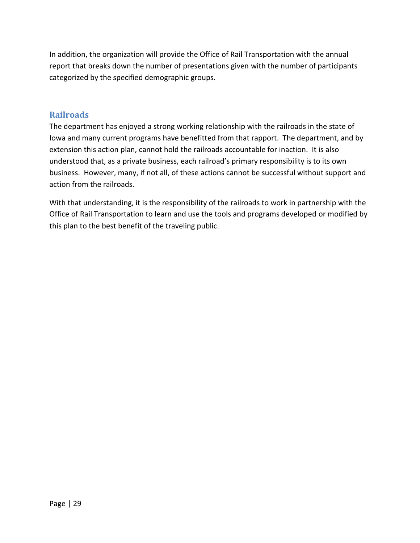In addition, the organization will provide the Office of Rail Transportation with the annual report that breaks down the number of presentations given with the number of participants categorized by the specified demographic groups.

# <span id="page-37-0"></span>**Railroads**

The department has enjoyed a strong working relationship with the railroads in the state of Iowa and many current programs have benefitted from that rapport. The department, and by extension this action plan, cannot hold the railroads accountable for inaction. It is also understood that, as a private business, each railroad's primary responsibility is to its own business. However, many, if not all, of these actions cannot be successful without support and action from the railroads.

With that understanding, it is the responsibility of the railroads to work in partnership with the Office of Rail Transportation to learn and use the tools and programs developed or modified by this plan to the best benefit of the traveling public.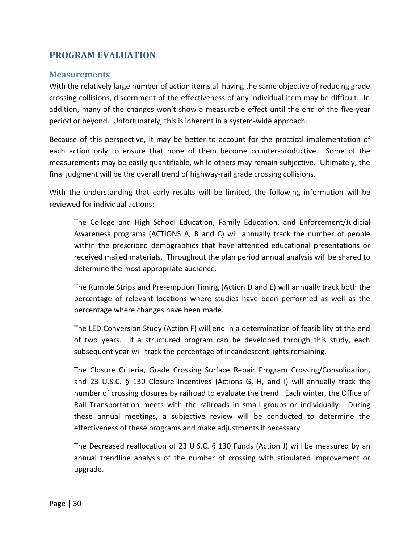# <span id="page-38-0"></span>**PROGRAM EVALUATION**

#### <span id="page-38-1"></span>**Measurements**

With the relatively large number of action items all having the same objective of reducing grade crossing collisions, discernment of the effectiveness of any individual item may be difficult. In addition, many of the changes won't show a measurable effect until the end of the five-year period or beyond. Unfortunately, this is inherent in a system-wide approach.

Because of this perspective, it may be better to account for the practical implementation of each action only to ensure that none of them become counter-productive. Some of the measurements may be easily quantifiable, while others may remain subjective. Ultimately, the final judgment will be the overall trend of highway-rail grade crossing collisions.

With the understanding that early results will be limited, the following information will be reviewed for individual actions:

The College and High School Education, Family Education, and Enforcement/Judicial Awareness programs (ACTIONS A, B and C) will annually track the number of people within the prescribed demographics that have attended educational presentations or received mailed materials. Throughout the plan period annual analysis will be shared to determine the most appropriate audience.

The Rumble Strips and Pre-emption Timing (Action D and E) will annually track both the percentage of relevant locations where studies have been performed as well as the percentage where changes have been made.

The LED Conversion Study (Action F) will end in a determination of feasibility at the end of two years. If a structured program can be developed through this study, each subsequent year will track the percentage of incandescent lights remaining.

The Closure Criteria, Grade Crossing Surface Repair Program Crossing/Consolidation, and 23 U.S.C. § 130 Closure Incentives (Actions G, H, and I) will annually track the number of crossing closures by railroad to evaluate the trend. Each winter, the Office of Rail Transportation meets with the railroads in small groups or individually. During these annual meetings, a subjective review will be conducted to determine the effectiveness of these programs and make adjustments if necessary.

The Decreased reallocation of 23 U.S.C. § 130 Funds (Action J) will be measured by an annual trendline analysis of the number of crossing with stipulated improvement or upgrade.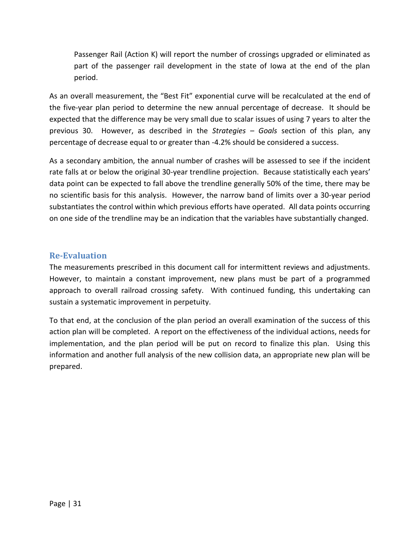Passenger Rail (Action K) will report the number of crossings upgraded or eliminated as part of the passenger rail development in the state of Iowa at the end of the plan period.

As an overall measurement, the "Best Fit" exponential curve will be recalculated at the end of the five-year plan period to determine the new annual percentage of decrease. It should be expected that the difference may be very small due to scalar issues of using 7 years to alter the previous 30. However, as described in the *Strategies – Goals* section of this plan, any percentage of decrease equal to or greater than -4.2% should be considered a success.

As a secondary ambition, the annual number of crashes will be assessed to see if the incident rate falls at or below the original 30-year trendline projection. Because statistically each years' data point can be expected to fall above the trendline generally 50% of the time, there may be no scientific basis for this analysis. However, the narrow band of limits over a 30-year period substantiates the control within which previous efforts have operated. All data points occurring on one side of the trendline may be an indication that the variables have substantially changed.

### <span id="page-39-0"></span>**Re-Evaluation**

The measurements prescribed in this document call for intermittent reviews and adjustments. However, to maintain a constant improvement, new plans must be part of a programmed approach to overall railroad crossing safety. With continued funding, this undertaking can sustain a systematic improvement in perpetuity.

To that end, at the conclusion of the plan period an overall examination of the success of this action plan will be completed. A report on the effectiveness of the individual actions, needs for implementation, and the plan period will be put on record to finalize this plan. Using this information and another full analysis of the new collision data, an appropriate new plan will be prepared.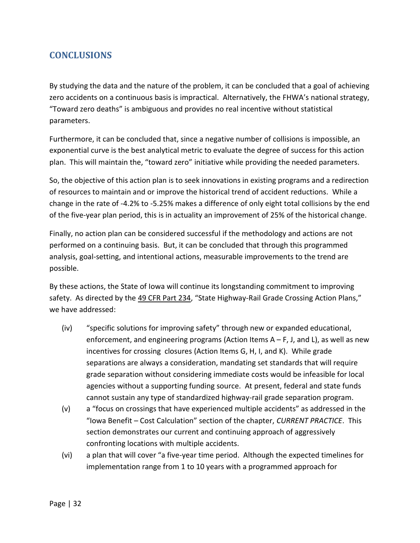# <span id="page-40-0"></span>**CONCLUSIONS**

By studying the data and the nature of the problem, it can be concluded that a goal of achieving zero accidents on a continuous basis is impractical. Alternatively, the FHWA's national strategy, "Toward zero deaths" is ambiguous and provides no real incentive without statistical parameters.

Furthermore, it can be concluded that, since a negative number of collisions is impossible, an exponential curve is the best analytical metric to evaluate the degree of success for this action plan. This will maintain the, "toward zero" initiative while providing the needed parameters.

So, the objective of this action plan is to seek innovations in existing programs and a redirection of resources to maintain and or improve the historical trend of accident reductions. While a change in the rate of -4.2% to -5.25% makes a difference of only eight total collisions by the end of the five-year plan period, this is in actuality an improvement of 25% of the historical change.

Finally, no action plan can be considered successful if the methodology and actions are not performed on a continuing basis. But, it can be concluded that through this programmed analysis, goal-setting, and intentional actions, measurable improvements to the trend are possible.

By these actions, the State of Iowa will continue its longstanding commitment to improving safety. As directed by the 49 CFR Part 234, "State Highway-Rail Grade Crossing Action Plans," we have addressed:

- (iv) "specific solutions for improving safety" through new or expanded educational, enforcement, and engineering programs (Action Items  $A - F$ , J, and L), as well as new incentives for crossing closures (Action Items G, H, I, and K). While grade separations are always a consideration, mandating set standards that will require grade separation without considering immediate costs would be infeasible for local agencies without a supporting funding source. At present, federal and state funds cannot sustain any type of standardized highway-rail grade separation program.
- (v) a "focus on crossings that have experienced multiple accidents" as addressed in the "Iowa Benefit – Cost Calculation" section of the chapter, *CURRENT PRACTICE*. This section demonstrates our current and continuing approach of aggressively confronting locations with multiple accidents.
- (vi) a plan that will cover "a five-year time period. Although the expected timelines for implementation range from 1 to 10 years with a programmed approach for